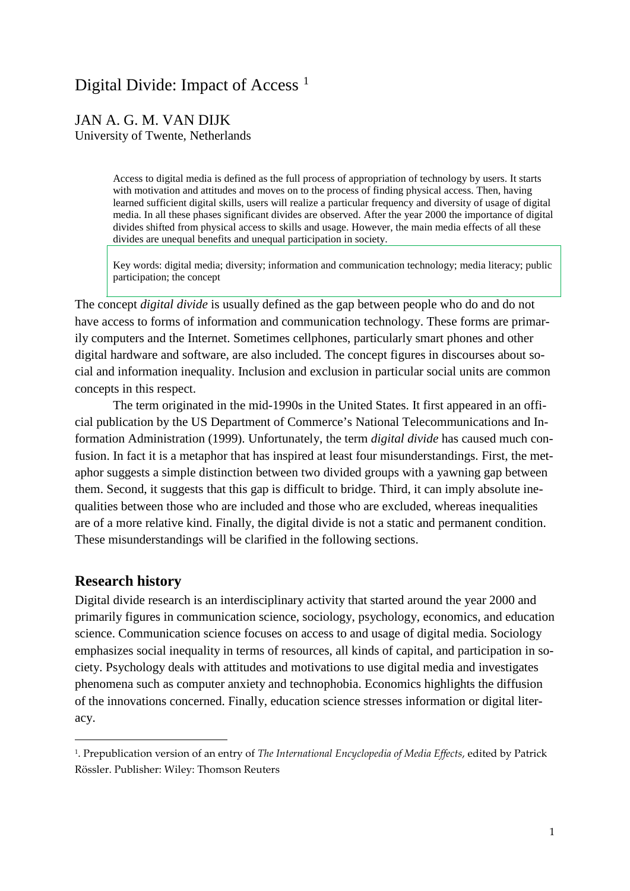# Digital Divide: Impact of Access<sup>[1](#page-0-0)</sup>

# JAN A. G. M. VAN DIJK University of Twente, Netherlands

Access to digital media is defined as the full process of appropriation of technology by users. It starts with motivation and attitudes and moves on to the process of finding physical access. Then, having learned sufficient digital skills, users will realize a particular frequency and diversity of usage of digital media. In all these phases significant divides are observed. After the year 2000 the importance of digital divides shifted from physical access to skills and usage. However, the main media effects of all these divides are unequal benefits and unequal participation in society.

Key words: digital media; diversity; information and communication technology; media literacy; public participation; the concept

The concept *digital divide* is usually defined as the gap between people who do and do not have access to forms of information and communication technology. These forms are primarily computers and the Internet. Sometimes cellphones, particularly smart phones and other digital hardware and software, are also included. The concept figures in discourses about social and information inequality. Inclusion and exclusion in particular social units are common concepts in this respect.

The term originated in the mid-1990s in the United States. It first appeared in an official publication by the US Department of Commerce's National Telecommunications and Information Administration (1999). Unfortunately, the term *digital divide* has caused much confusion. In fact it is a metaphor that has inspired at least four misunderstandings. First, the metaphor suggests a simple distinction between two divided groups with a yawning gap between them. Second, it suggests that this gap is difficult to bridge. Third, it can imply absolute inequalities between those who are included and those who are excluded, whereas inequalities are of a more relative kind. Finally, the digital divide is not a static and permanent condition. These misunderstandings will be clarified in the following sections.

# **Research history**

l

Digital divide research is an interdisciplinary activity that started around the year 2000 and primarily figures in communication science, sociology, psychology, economics, and education science. Communication science focuses on access to and usage of digital media. Sociology emphasizes social inequality in terms of resources, all kinds of capital, and participation in society. Psychology deals with attitudes and motivations to use digital media and investigates phenomena such as computer anxiety and technophobia. Economics highlights the diffusion of the innovations concerned. Finally, education science stresses information or digital literacy.

<span id="page-0-0"></span><sup>1.</sup> Prepublication version of an entry of *The International Encyclopedia of Media Effects*, edited by Patrick Rössler. Publisher: Wiley: Thomson Reuters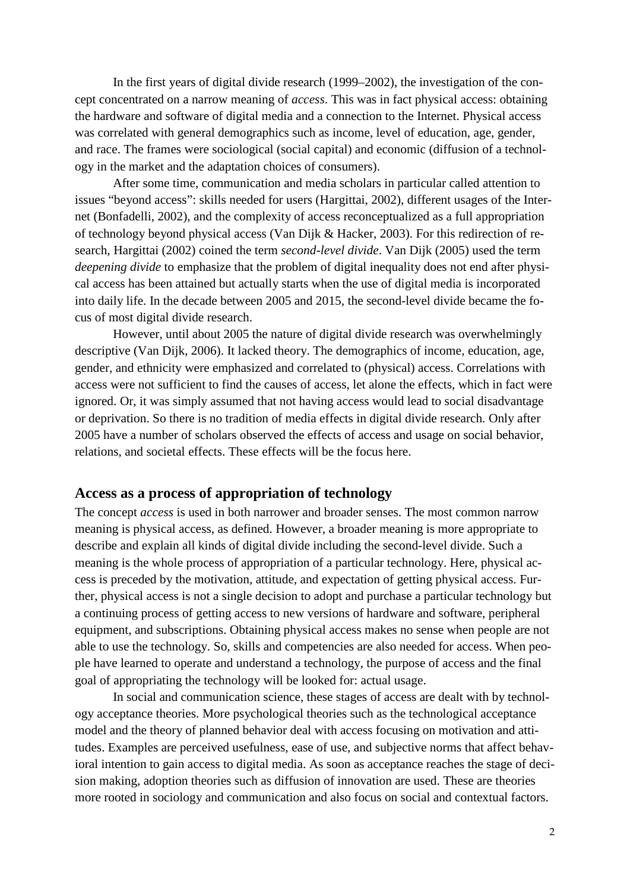In the first years of digital divide research (1999–2002), the investigation of the concept concentrated on a narrow meaning of *access*. This was in fact physical access: obtaining the hardware and software of digital media and a connection to the Internet. Physical access was correlated with general demographics such as income, level of education, age, gender, and race. The frames were sociological (social capital) and economic (diffusion of a technology in the market and the adaptation choices of consumers).

After some time, communication and media scholars in particular called attention to issues "beyond access": skills needed for users (Hargittai, 2002), different usages of the Internet (Bonfadelli, 2002), and the complexity of access reconceptualized as a full appropriation of technology beyond physical access (Van Dijk & Hacker, 2003). For this redirection of research, Hargittai (2002) coined the term *second-level divide*. Van Dijk (2005) used the term *deepening divide* to emphasize that the problem of digital inequality does not end after physical access has been attained but actually starts when the use of digital media is incorporated into daily life. In the decade between 2005 and 2015, the second-level divide became the focus of most digital divide research.

However, until about 2005 the nature of digital divide research was overwhelmingly descriptive (Van Dijk, 2006). It lacked theory. The demographics of income, education, age, gender, and ethnicity were emphasized and correlated to (physical) access. Correlations with access were not sufficient to find the causes of access, let alone the effects, which in fact were ignored. Or, it was simply assumed that not having access would lead to social disadvantage or deprivation. So there is no tradition of media effects in digital divide research. Only after 2005 have a number of scholars observed the effects of access and usage on social behavior, relations, and societal effects. These effects will be the focus here.

#### **Access as a process of appropriation of technology**

The concept *access* is used in both narrower and broader senses. The most common narrow meaning is physical access, as defined. However, a broader meaning is more appropriate to describe and explain all kinds of digital divide including the second-level divide. Such a meaning is the whole process of appropriation of a particular technology. Here, physical access is preceded by the motivation, attitude, and expectation of getting physical access. Further, physical access is not a single decision to adopt and purchase a particular technology but a continuing process of getting access to new versions of hardware and software, peripheral equipment, and subscriptions. Obtaining physical access makes no sense when people are not able to use the technology. So, skills and competencies are also needed for access. When people have learned to operate and understand a technology, the purpose of access and the final goal of appropriating the technology will be looked for: actual usage.

In social and communication science, these stages of access are dealt with by technology acceptance theories. More psychological theories such as the technological acceptance model and the theory of planned behavior deal with access focusing on motivation and attitudes. Examples are perceived usefulness, ease of use, and subjective norms that affect behavioral intention to gain access to digital media. As soon as acceptance reaches the stage of decision making, adoption theories such as diffusion of innovation are used. These are theories more rooted in sociology and communication and also focus on social and contextual factors.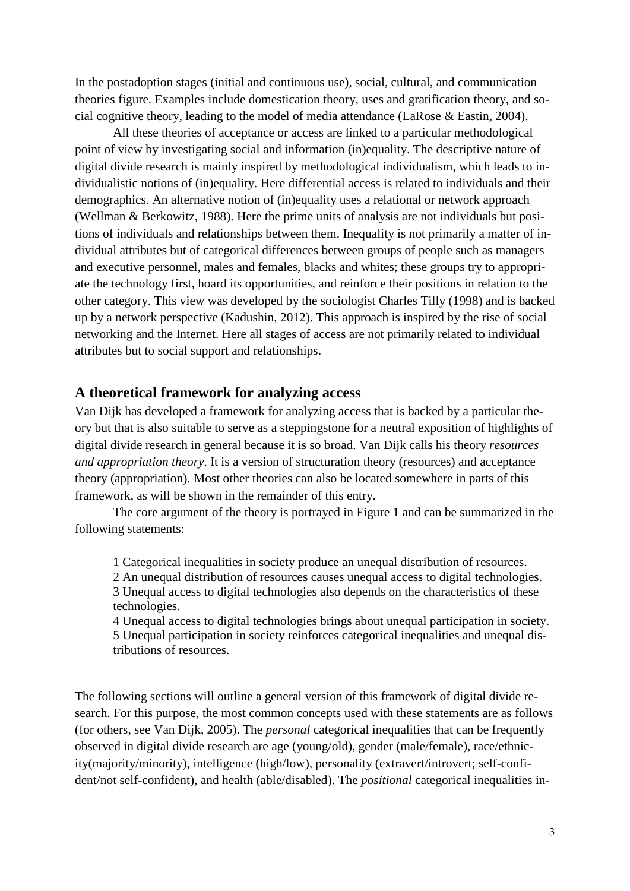In the postadoption stages (initial and continuous use), social, cultural, and communication theories figure. Examples include domestication theory, uses and gratification theory, and social cognitive theory, leading to the model of media attendance (LaRose & Eastin, 2004).

All these theories of acceptance or access are linked to a particular methodological point of view by investigating social and information (in)equality. The descriptive nature of digital divide research is mainly inspired by methodological individualism, which leads to individualistic notions of (in)equality. Here differential access is related to individuals and their demographics. An alternative notion of (in)equality uses a relational or network approach (Wellman & Berkowitz, 1988). Here the prime units of analysis are not individuals but positions of individuals and relationships between them. Inequality is not primarily a matter of individual attributes but of categorical differences between groups of people such as managers and executive personnel, males and females, blacks and whites; these groups try to appropriate the technology first, hoard its opportunities, and reinforce their positions in relation to the other category. This view was developed by the sociologist Charles Tilly (1998) and is backed up by a network perspective (Kadushin, 2012). This approach is inspired by the rise of social networking and the Internet. Here all stages of access are not primarily related to individual attributes but to social support and relationships.

### **A theoretical framework for analyzing access**

Van Dijk has developed a framework for analyzing access that is backed by a particular theory but that is also suitable to serve as a steppingstone for a neutral exposition of highlights of digital divide research in general because it is so broad. Van Dijk calls his theory *resources and appropriation theory*. It is a version of structuration theory (resources) and acceptance theory (appropriation). Most other theories can also be located somewhere in parts of this framework, as will be shown in the remainder of this entry.

The core argument of the theory is portrayed in Figure 1 and can be summarized in the following statements:

1 Categorical inequalities in society produce an unequal distribution of resources.

2 An unequal distribution of resources causes unequal access to digital technologies. 3 Unequal access to digital technologies also depends on the characteristics of these technologies.

4 Unequal access to digital technologies brings about unequal participation in society. 5 Unequal participation in society reinforces categorical inequalities and unequal distributions of resources.

The following sections will outline a general version of this framework of digital divide research. For this purpose, the most common concepts used with these statements are as follows (for others, see Van Dijk, 2005). The *personal* categorical inequalities that can be frequently observed in digital divide research are age (young/old), gender (male/female), race/ethnicity(majority/minority), intelligence (high/low), personality (extravert/introvert; self-confident/not self-confident), and health (able/disabled). The *positional* categorical inequalities in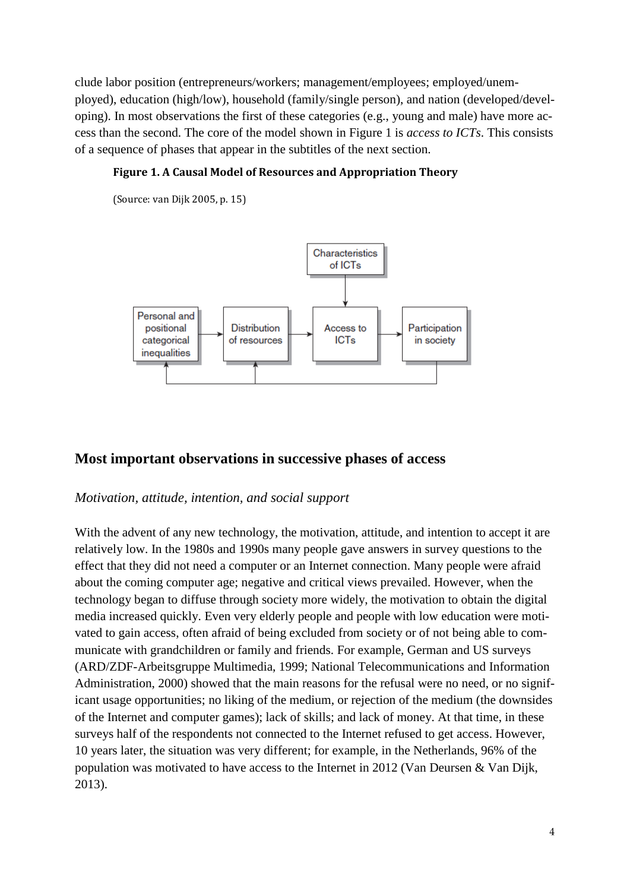clude labor position (entrepreneurs/workers; management/employees; employed/unemployed), education (high/low), household (family/single person), and nation (developed/developing). In most observations the first of these categories (e.g., young and male) have more access than the second. The core of the model shown in Figure 1 is *access to ICTs*. This consists of a sequence of phases that appear in the subtitles of the next section.

#### **Figure 1. A Causal Model of Resources and Appropriation Theory**

(Source: van Dijk 2005, p. 15)



# **Most important observations in successive phases of access**

# *Motivation, attitude, intention, and social support*

With the advent of any new technology, the motivation, attitude, and intention to accept it are relatively low. In the 1980s and 1990s many people gave answers in survey questions to the effect that they did not need a computer or an Internet connection. Many people were afraid about the coming computer age; negative and critical views prevailed. However, when the technology began to diffuse through society more widely, the motivation to obtain the digital media increased quickly. Even very elderly people and people with low education were motivated to gain access, often afraid of being excluded from society or of not being able to communicate with grandchildren or family and friends. For example, German and US surveys (ARD/ZDF-Arbeitsgruppe Multimedia, 1999; National Telecommunications and Information Administration, 2000) showed that the main reasons for the refusal were no need, or no significant usage opportunities; no liking of the medium, or rejection of the medium (the downsides of the Internet and computer games); lack of skills; and lack of money. At that time, in these surveys half of the respondents not connected to the Internet refused to get access. However, 10 years later, the situation was very different; for example, in the Netherlands, 96% of the population was motivated to have access to the Internet in 2012 (Van Deursen & Van Dijk, 2013).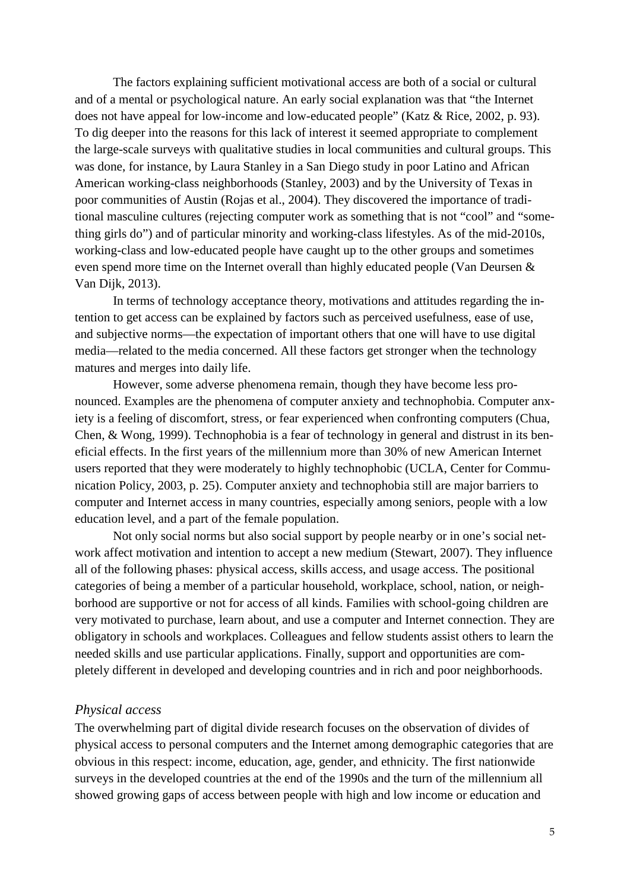The factors explaining sufficient motivational access are both of a social or cultural and of a mental or psychological nature. An early social explanation was that "the Internet does not have appeal for low-income and low-educated people" (Katz & Rice, 2002, p. 93). To dig deeper into the reasons for this lack of interest it seemed appropriate to complement the large-scale surveys with qualitative studies in local communities and cultural groups. This was done, for instance, by Laura Stanley in a San Diego study in poor Latino and African American working-class neighborhoods (Stanley, 2003) and by the University of Texas in poor communities of Austin (Rojas et al., 2004). They discovered the importance of traditional masculine cultures (rejecting computer work as something that is not "cool" and "something girls do") and of particular minority and working-class lifestyles. As of the mid-2010s, working-class and low-educated people have caught up to the other groups and sometimes even spend more time on the Internet overall than highly educated people (Van Deursen & Van Dijk, 2013).

In terms of technology acceptance theory, motivations and attitudes regarding the intention to get access can be explained by factors such as perceived usefulness, ease of use, and subjective norms—the expectation of important others that one will have to use digital media—related to the media concerned. All these factors get stronger when the technology matures and merges into daily life.

However, some adverse phenomena remain, though they have become less pronounced. Examples are the phenomena of computer anxiety and technophobia. Computer anxiety is a feeling of discomfort, stress, or fear experienced when confronting computers (Chua, Chen, & Wong, 1999). Technophobia is a fear of technology in general and distrust in its beneficial effects. In the first years of the millennium more than 30% of new American Internet users reported that they were moderately to highly technophobic (UCLA, Center for Communication Policy, 2003, p. 25). Computer anxiety and technophobia still are major barriers to computer and Internet access in many countries, especially among seniors, people with a low education level, and a part of the female population.

Not only social norms but also social support by people nearby or in one's social network affect motivation and intention to accept a new medium (Stewart, 2007). They influence all of the following phases: physical access, skills access, and usage access. The positional categories of being a member of a particular household, workplace, school, nation, or neighborhood are supportive or not for access of all kinds. Families with school-going children are very motivated to purchase, learn about, and use a computer and Internet connection. They are obligatory in schools and workplaces. Colleagues and fellow students assist others to learn the needed skills and use particular applications. Finally, support and opportunities are completely different in developed and developing countries and in rich and poor neighborhoods.

#### *Physical access*

The overwhelming part of digital divide research focuses on the observation of divides of physical access to personal computers and the Internet among demographic categories that are obvious in this respect: income, education, age, gender, and ethnicity. The first nationwide surveys in the developed countries at the end of the 1990s and the turn of the millennium all showed growing gaps of access between people with high and low income or education and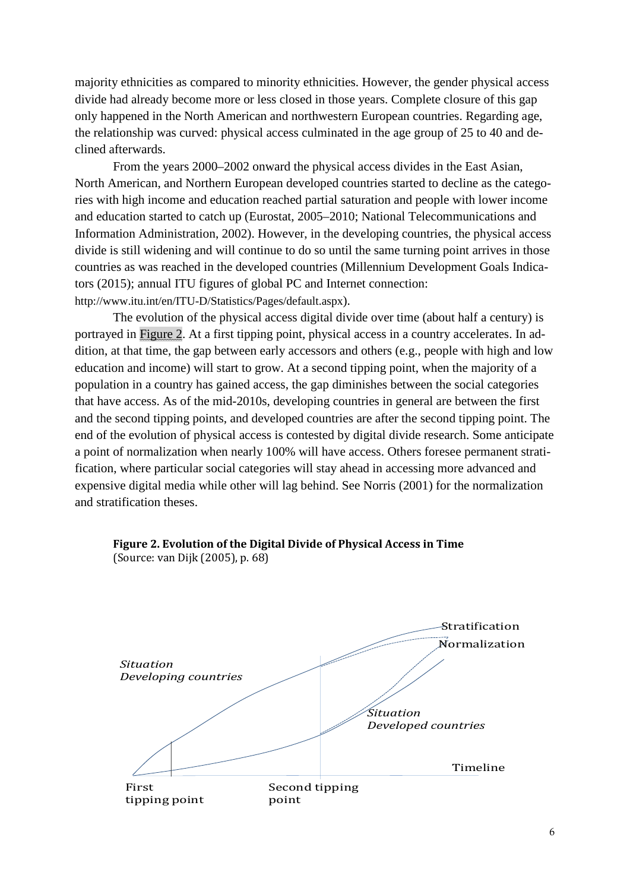majority ethnicities as compared to minority ethnicities. However, the gender physical access divide had already become more or less closed in those years. Complete closure of this gap only happened in the North American and northwestern European countries. Regarding age, the relationship was curved: physical access culminated in the age group of 25 to 40 and declined afterwards.

From the years 2000–2002 onward the physical access divides in the East Asian, North American, and Northern European developed countries started to decline as the categories with high income and education reached partial saturation and people with lower income and education started to catch up (Eurostat, 2005–2010; National Telecommunications and Information Administration, 2002). However, in the developing countries, the physical access divide is still widening and will continue to do so until the same turning point arrives in those countries as was reached in the developed countries (Millennium Development Goals Indicators (2015); annual ITU figures of global PC and Internet connection: http://www.itu.int/en/ITU-D/Statistics/Pages/default.aspx).

The evolution of the physical access digital divide over time (about half a century) is portrayed in Figure 2. At a first tipping point, physical access in a country accelerates. In addition, at that time, the gap between early accessors and others (e.g., people with high and low education and income) will start to grow. At a second tipping point, when the majority of a population in a country has gained access, the gap diminishes between the social categories that have access. As of the mid-2010s, developing countries in general are between the first and the second tipping points, and developed countries are after the second tipping point. The end of the evolution of physical access is contested by digital divide research. Some anticipate a point of normalization when nearly 100% will have access. Others foresee permanent stratification, where particular social categories will stay ahead in accessing more advanced and expensive digital media while other will lag behind. See Norris (2001) for the normalization and stratification theses.



#### **Figure 2. Evolution of the Digital Divide of Physical Access in Time** (Source: van Dijk (2005), p. 68)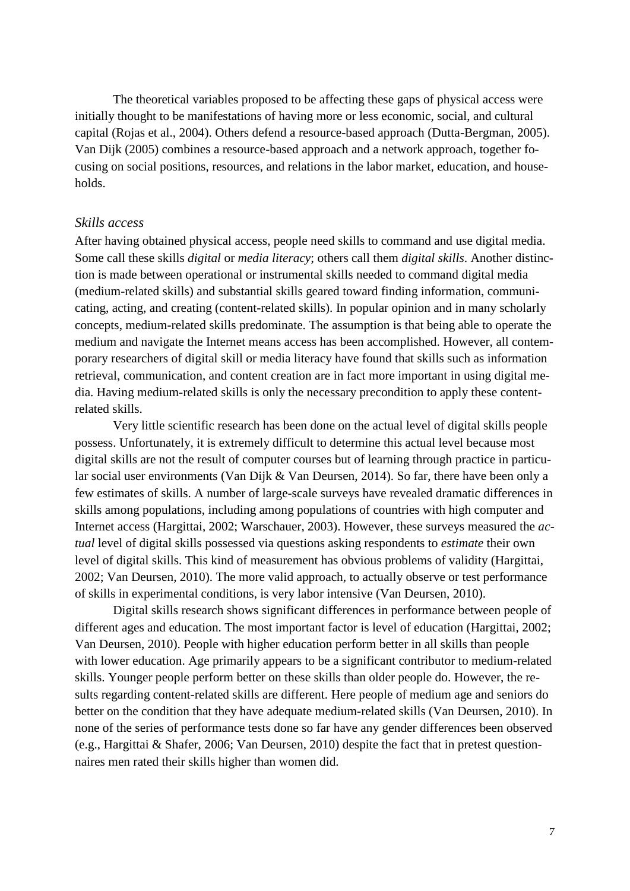The theoretical variables proposed to be affecting these gaps of physical access were initially thought to be manifestations of having more or less economic, social, and cultural capital (Rojas et al., 2004). Others defend a resource-based approach (Dutta-Bergman, 2005). Van Dijk (2005) combines a resource-based approach and a network approach, together focusing on social positions, resources, and relations in the labor market, education, and households.

#### *Skills access*

After having obtained physical access, people need skills to command and use digital media. Some call these skills *digital* or *media literacy*; others call them *digital skills*. Another distinction is made between operational or instrumental skills needed to command digital media (medium-related skills) and substantial skills geared toward finding information, communicating, acting, and creating (content-related skills). In popular opinion and in many scholarly concepts, medium-related skills predominate. The assumption is that being able to operate the medium and navigate the Internet means access has been accomplished. However, all contemporary researchers of digital skill or media literacy have found that skills such as information retrieval, communication, and content creation are in fact more important in using digital media. Having medium-related skills is only the necessary precondition to apply these contentrelated skills.

Very little scientific research has been done on the actual level of digital skills people possess. Unfortunately, it is extremely difficult to determine this actual level because most digital skills are not the result of computer courses but of learning through practice in particular social user environments (Van Dijk & Van Deursen, 2014). So far, there have been only a few estimates of skills. A number of large-scale surveys have revealed dramatic differences in skills among populations, including among populations of countries with high computer and Internet access (Hargittai, 2002; Warschauer, 2003). However, these surveys measured the *actual* level of digital skills possessed via questions asking respondents to *estimate* their own level of digital skills. This kind of measurement has obvious problems of validity (Hargittai, 2002; Van Deursen, 2010). The more valid approach, to actually observe or test performance of skills in experimental conditions, is very labor intensive (Van Deursen, 2010).

Digital skills research shows significant differences in performance between people of different ages and education. The most important factor is level of education (Hargittai, 2002; Van Deursen, 2010). People with higher education perform better in all skills than people with lower education. Age primarily appears to be a significant contributor to medium-related skills. Younger people perform better on these skills than older people do. However, the results regarding content-related skills are different. Here people of medium age and seniors do better on the condition that they have adequate medium-related skills (Van Deursen, 2010). In none of the series of performance tests done so far have any gender differences been observed (e.g., Hargittai & Shafer, 2006; Van Deursen, 2010) despite the fact that in pretest questionnaires men rated their skills higher than women did.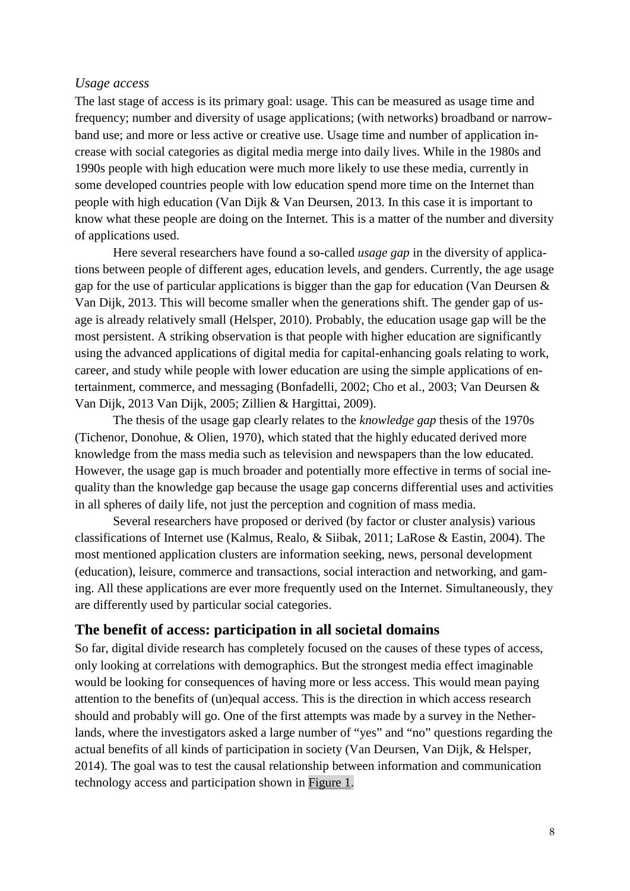#### *Usage access*

The last stage of access is its primary goal: usage. This can be measured as usage time and frequency; number and diversity of usage applications; (with networks) broadband or narrowband use; and more or less active or creative use. Usage time and number of application increase with social categories as digital media merge into daily lives. While in the 1980s and 1990s people with high education were much more likely to use these media, currently in some developed countries people with low education spend more time on the Internet than people with high education (Van Dijk & Van Deursen, 2013. In this case it is important to know what these people are doing on the Internet. This is a matter of the number and diversity of applications used.

Here several researchers have found a so-called *usage gap* in the diversity of applications between people of different ages, education levels, and genders. Currently, the age usage gap for the use of particular applications is bigger than the gap for education (Van Deursen & Van Dijk, 2013. This will become smaller when the generations shift. The gender gap of usage is already relatively small (Helsper, 2010). Probably, the education usage gap will be the most persistent. A striking observation is that people with higher education are significantly using the advanced applications of digital media for capital-enhancing goals relating to work, career, and study while people with lower education are using the simple applications of entertainment, commerce, and messaging (Bonfadelli, 2002; Cho et al., 2003; Van Deursen & Van Dijk, 2013 Van Dijk, 2005; Zillien & Hargittai, 2009).

The thesis of the usage gap clearly relates to the *knowledge gap* thesis of the 1970s (Tichenor, Donohue, & Olien, 1970), which stated that the highly educated derived more knowledge from the mass media such as television and newspapers than the low educated. However, the usage gap is much broader and potentially more effective in terms of social inequality than the knowledge gap because the usage gap concerns differential uses and activities in all spheres of daily life, not just the perception and cognition of mass media.

Several researchers have proposed or derived (by factor or cluster analysis) various classifications of Internet use (Kalmus, Realo, & Siibak, 2011; LaRose & Eastin, 2004). The most mentioned application clusters are information seeking, news, personal development (education), leisure, commerce and transactions, social interaction and networking, and gaming. All these applications are ever more frequently used on the Internet. Simultaneously, they are differently used by particular social categories.

# **The benefit of access: participation in all societal domains**

So far, digital divide research has completely focused on the causes of these types of access, only looking at correlations with demographics. But the strongest media effect imaginable would be looking for consequences of having more or less access. This would mean paying attention to the benefits of (un)equal access. This is the direction in which access research should and probably will go. One of the first attempts was made by a survey in the Netherlands, where the investigators asked a large number of "yes" and "no" questions regarding the actual benefits of all kinds of participation in society (Van Deursen, Van Dijk, & Helsper, 2014). The goal was to test the causal relationship between information and communication technology access and participation shown in Figure 1.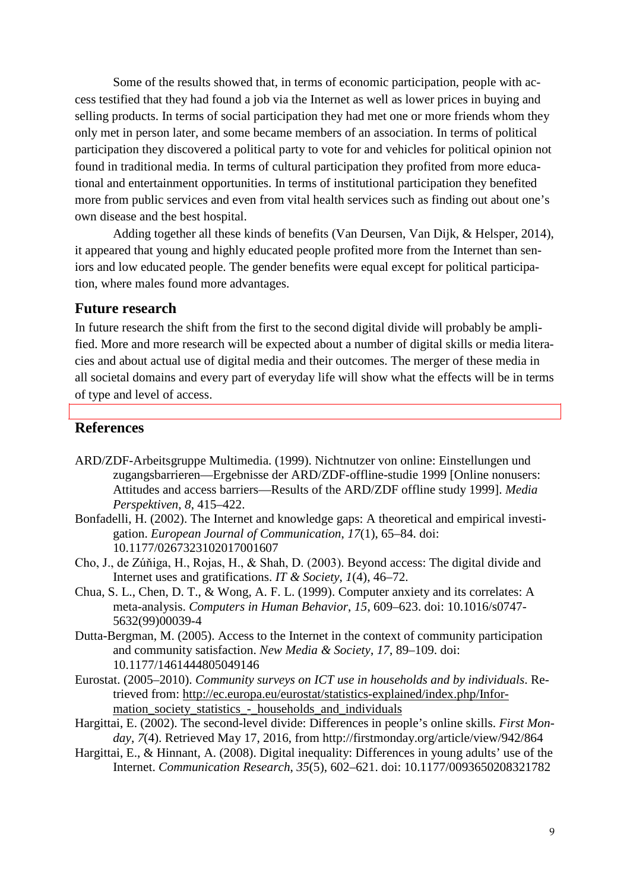Some of the results showed that, in terms of economic participation, people with access testified that they had found a job via the Internet as well as lower prices in buying and selling products. In terms of social participation they had met one or more friends whom they only met in person later, and some became members of an association. In terms of political participation they discovered a political party to vote for and vehicles for political opinion not found in traditional media. In terms of cultural participation they profited from more educational and entertainment opportunities. In terms of institutional participation they benefited more from public services and even from vital health services such as finding out about one's own disease and the best hospital.

Adding together all these kinds of benefits (Van Deursen, Van Dijk, & Helsper, 2014), it appeared that young and highly educated people profited more from the Internet than seniors and low educated people. The gender benefits were equal except for political participation, where males found more advantages.

### **Future research**

In future research the shift from the first to the second digital divide will probably be amplified. More and more research will be expected about a number of digital skills or media literacies and about actual use of digital media and their outcomes. The merger of these media in all societal domains and every part of everyday life will show what the effects will be in terms of type and level of access.

#### **References**

- ARD/ZDF-Arbeitsgruppe Multimedia. (1999). Nichtnutzer von online: Einstellungen und zugangsbarrieren—Ergebnisse der ARD/ZDF-offline-studie 1999 [Online nonusers: Attitudes and access barriers—Results of the ARD/ZDF offline study 1999]. *Media Perspektiven*, *8*, 415–422.
- Bonfadelli, H. (2002). The Internet and knowledge gaps: A theoretical and empirical investigation. *European Journal of Communication*, *17*(1), 65–84. doi: 10.1177/0267323102017001607
- Cho, J., de Zúňiga, H., Rojas, H., & Shah, D. (2003). Beyond access: The digital divide and Internet uses and gratifications. *IT & Society*, *1*(4), 46–72.
- Chua, S. L., Chen, D. T., & Wong, A. F. L. (1999). Computer anxiety and its correlates: A meta-analysis. *Computers in Human Behavior*, *15*, 609–623. doi: 10.1016/s0747- 5632(99)00039-4
- Dutta-Bergman, M. (2005). Access to the Internet in the context of community participation and community satisfaction. *New Media & Society*, *17*, 89–109. doi: 10.1177/1461444805049146
- Eurostat. (2005–2010). *Community surveys on ICT use in households and by individuals*. Retrieved from: [http://ec.europa.eu/eurostat/statistics-explained/index.php/Infor](http://ec.europa.eu/eurostat/statistics-explained/index.php/Information_society_statistics_-_households_and_individuals)mation society statistics - households and individuals
- Hargittai, E. (2002). The second-level divide: Differences in people's online skills. *First Monday*, *7*(4). Retrieved May 17, 2016, from http://firstmonday.org/article/view/942/864
- Hargittai, E., & Hinnant, A. (2008). Digital inequality: Differences in young adults' use of the Internet. *Communication Research*, *35*(5), 602–621. doi: 10.1177/0093650208321782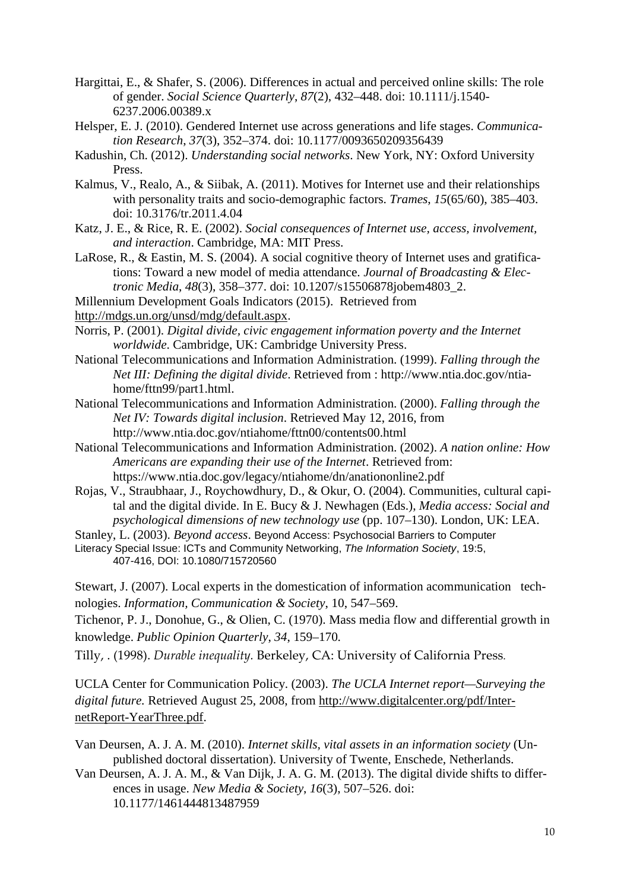- Hargittai, E., & Shafer, S. (2006). Differences in actual and perceived online skills: The role of gender. *Social Science Quarterly*, *87*(2), 432–448. doi: 10.1111/j.1540- 6237.2006.00389.x
- Helsper, E. J. (2010). Gendered Internet use across generations and life stages. *Communication Research*, *37*(3), 352–374. doi: 10.1177/0093650209356439
- Kadushin, Ch. (2012). *Understanding social networks*. New York, NY: Oxford University Press.
- Kalmus, V., Realo, A., & Siibak, A. (2011). Motives for Internet use and their relationships with personality traits and socio-demographic factors. *Trames*, *15*(65/60), 385–403. doi: 10.3176/tr.2011.4.04
- Katz, J. E., & Rice, R. E. (2002). *Social consequences of Internet use, access, involvement, and interaction*. Cambridge, MA: MIT Press.
- LaRose, R., & Eastin, M. S. (2004). A social cognitive theory of Internet uses and gratifications: Toward a new model of media attendance. *Journal of Broadcasting & Electronic Media*, *48*(3), 358–377. doi: 10.1207/s15506878jobem4803\_2.
- Millennium Development Goals Indicators (2015). Retrieved from

[http://mdgs.un.org/unsd/mdg/default.aspx.](http://mdgs.un.org/unsd/mdg/default.aspx)

- Norris, P. (2001). *Digital divide, civic engagement information poverty and the Internet worldwide*. Cambridge, UK: Cambridge University Press.
- National Telecommunications and Information Administration. (1999). *Falling through the Net III: Defining the digital divide*. Retrieved from : [http://www.ntia.doc.gov/ntia](http://www.ntia.doc.gov/ntiahome/fttn99/part1.html)[home/fttn99/part1.html.](http://www.ntia.doc.gov/ntiahome/fttn99/part1.html)
- National Telecommunications and Information Administration. (2000). *Falling through the Net IV: Towards digital inclusion*. Retrieved May 12, 2016, from http://www.ntia.doc.gov/ntiahome/fttn00/contents00.html
- National Telecommunications and Information Administration. (2002). *A nation online: How Americans are expanding their use of the Internet*. Retrieved from: https://www.ntia.doc.gov/legacy/ntiahome/dn/anationonline2.pdf
- Rojas, V., Straubhaar, J., Roychowdhury, D., & Okur, O. (2004). Communities, cultural capital and the digital divide. In E. Bucy & J. Newhagen (Eds.), *Media access: Social and psychological dimensions of new technology use* (pp. 107–130). London, UK: LEA.

Stanley, L. (2003). *Beyond access*. Beyond Access: Psychosocial Barriers to Computer

Literacy Special Issue: ICTs and Community Networking, *The Information Society*, 19:5, 407-416, DOI: 10.1080/715720560

Stewart, J. (2007). Local experts in the domestication of information acommunication technologies. *Information, Communication & Society*, 10, 547–569.

Tichenor, P. J., Donohue, G., & Olien, C. (1970). Mass media flow and differential growth in knowledge. *Public Opinion Quarterly*, *34*, 159–170*.*

Tilly, . (1998). *Durable inequality.* Berkeley, CA: University of California Press.

UCLA Center for Communication Policy. (2003). *The UCLA Internet report—Surveying the digital future.* Retrieved August 25, 2008, from [http://www.digitalcenter.org/pdf/Inter](http://www.digitalcenter.org/pdf/InternetReport-YearThree.pdf)[netReport-YearThree.pdf.](http://www.digitalcenter.org/pdf/InternetReport-YearThree.pdf)

- Van Deursen, A. J. A. M. (2010). *Internet skills, vital assets in an information society* (Unpublished doctoral dissertation). University of Twente, Enschede, Netherlands.
- Van Deursen, A. J. A. M., & Van Dijk, J. A. G. M. (2013). The digital divide shifts to differences in usage. *New Media & Society*, *16*(3), 507–526. doi: 10.1177/1461444813487959